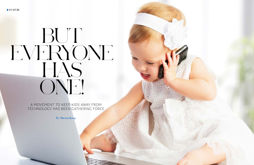

**FEATURE**

# BUT EVERYONE HAS ONE!

A MOVEMENT TO KEEP KIDS AWAY FROM TECHNOLOGY HAS BEEN GATHERING FORCE

**By Shterna Karp**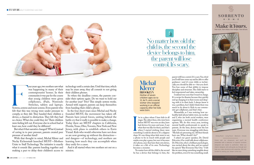

No matter how old the child is, the second the device belongs to him, the parent will lose control. It's scary.



I'm in a place where I have kids in all<br>stages. The oldest three, who were born<br>before MUST was even an idea, have<br>had devices for years and years. I saw<br>what that was like for them, and that's<br>when I started wishing there 'm in a place where I have kids in all stages. The oldest three, who were born before MUST was even an idea, have had devices for years and years. I saw what that was like for them, and that's when I started wishing there were slope. It's one thing when kids want to use a phone to be in touch with people and maybe even play a game, but once it becomes *their* phone, once they have their own device, it takes on a life of its own. Technology becomes a monster.

Screens, screens and the screens of the that this was Screens, screens and more screens. Even parents who from handing their child a phone. felt that this was wrong were under pressure to comply, so they did. They handed their children a founded MUST, the movement has taken off. device, a channel to distraction. They felt they had Parents have joined forces, uniting behind the no choice. What else could they do? Their children battle cry that it really is possible to make a change. were feeling left out. Everyone else in school had at Today there are MUST chapters in California, least one, how could they be different?

> No matter how old the child is, the second he has a device that belongs to him, the

contemporaries' homes. In their their children phones. community it was par for the course

our years ago, two mothers saw what — technology until a certain date. Until that time, which  $\,$ was happening in many of their may be years away, they all commit to not giving

that young children were given sider their options again. Do we want to hold out cellphones, iPads, Nintendo for another year? Two? This simple system works. Switches, tablets and laptops. Armed with support, parents can keep themselves So when the deadline comes, the parents con-

of caving in to peer pressure, parents created peer pressure of another kind?

Nechy Eichenstadt launched MUST—Mothers Unite to Stall Technology. The initiative is exactly what it sounds like: parents banding together and making a pact to delay their children's access to

Meanwhile, as I was noticing how unhealthy kids' phone habits were, my mother and I, who are both social workers, were organizing a mental health conference upstate. We do this every year, inviting mental health professionals to speak to parents. At the time, devices were the hot topic. Everyone was struggling with them. "My kids are pressuring me. All their friends have one. What should I do?"

But what if that narrative changed? What if, instead Jersey, with plans to establish others in Eretz With that thought in mind, Michal Klerer and and dangers—of technology, and mothers are In the four short years since Michal and Nechy Florida, Texas, Ohio, Toronto, New York and New Yisrael. Kids who would otherwise have not done so are now growing up without the distraction learning how much they can accomplish when they unify for a cause.

> And it all started when two mothers set out on a mission.

parent will lose control. It's scary. You *think* you'll still have some say and be able to offer guidance—and it's your child, so technically you should be able to—but you don't. You lose some of that ability to impose discipline and structure. The child starts to feel empowered and takes ownership.

I realized very soon that I wasn't in charge. It's a recipe for disaster, because they quickly end up charging it in their rooms and sleeping with it in their beds. I always knew it was a problem, but I didn't think there was much to do about it. Kids in our community get cellphones, and that's that.

I asked our guest speaker, Dr. David Pelcovitz, if he could talk about cellphones. Dr. Pelcovitz, who's a brilliant psychologist, was excited about the idea, and we named his speech "But Everyone Has One." I felt like we were doing something tangible about the problem, even if it was something small.



Dining Room - Living Room - Bedroom - Dinette

Come visit our showroom and you'll be presented with a selection of superior furniture designed and styled to perfection. Meet our interior designer, who will guide you through and help you make decisions with expertise. We look forward to seeing your dream come true.

### **Michal Klerer BROOKLYN**

Mother of seven children ages six to 22, *ka"h*, and a social worker who stopped working in an official capacity after her kids were born.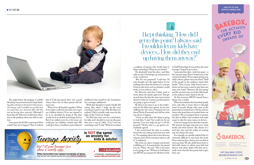childhood that would be the foundation for a stronger adulthood.

With that thought in mind, I finally fell asleep. But when I woke up the next morning, I wasn't so sure. Was the idea even realistic? Did it actually make sense by the light of day? I had my doubts.

Dr. Pelcovitz came over for a visit before his talk, and I decided to run my idea past him over a cup of coffee. "Can I ask you something crazy?" I said. "What if we started



The night before the program I couldn't fall asleep. I tossed and turned. I kept thinking, *How did I get to this point*? *I hate devices, and always said I wouldn't let my kids have one until they were married*. *How did they end up having them anyway*? Although I knew that Dr. Pelcovitz would draw attention to the problem, there was still no solution.

I was upset that I'd felt so pressured. How could I have let it happen? Then I realized

He absolutely loved the idea—and then told me that I should get up and present it at the conference.



that if I felt pressured, there was a good chance that a lot of other parents felt the same way.

What if we all banded together? What if we made a collective decision not to give our children devices? If no one wanted to do it, we shouldn't be doing it! The plan would not be to abolish technology forever. But if we stalled, even for a few years, we could give our children a better start. We could give them a healthier, more balanced

a coalition of parents who would unite to delay technology? What do you think?"

"But I'm not prepared!" I told him. I'd only thought of it the night before. It was nothing more than the kernel of a concept. I had no idea how such an initiative would work, or even what to call it.

Dr. Pelcovitz said that I didn't need to worry about the details right now. "Just get up and share the idea the same way you just shared it with me. I assure you that parents are going to get on board."

By then it was time to go to the auditorium for Dr. Pelcovitz's speech. As we were walking into the room, I bumped into my friend Nechy Eisenstadt and told her what was about to happen.

"I have no idea what this thing is going to look like," I said, "but could you be my partner? Can you help me get it off the ground?" Nechy, who is a go-getter, immediately agreed.

I also mentioned the idea to another friend who was sitting in the front row with us. "I'm speaking about this in less than ten minutes, and I don't even know what to call it," I explained.

She took out a piece of paper and started scribbling on it. A moment later, she passed it to me. "Here," she said. "This is the name you're going to use." Written in bold letters was MUST, an acronym for Mothers Unite

to Stall Technology. It was perfect, the exact

message I hoped to get across.

I presented the idea—with the name—a few minutes later. Then I looked out at the crowd and asked, "If you regret giving your child a device, please raise your hand." Half of the people in the audience raised their hands. "Now, if your child doesn't have a device yet but you're scared to give him one, raise your hand." Between the first group and the second, every one of the 300 people in the audience had a hand in the air.

At that moment, MUST turned from a

dream into a reality.

When the initiative first launched, people were only able to learn about it through word of mouth. People who were at the presentation reached out to Nechy and me; others who heard about it tracked down our numbers. We encouraged them to present the idea to fellow class mothers and make a pact to take the same stance on devices. A lot has changed since that first summer.

We learned through trial and error what works and what doesn't. The dream of a tech-free class and the reality of creating

one isn't always the same.

For example, we quickly realized that it's extremely difficult to turn back the clock. Once someone has a device, you can almost never go back. We also didn't know how to deal with classes in which some kids had devices and others didn't. Did that necessarily mean that the first group had to give

them up?



 347.566.Bake (2253) BakeBoxforKids.com

. . . . . . . . . . . . . . . . . .

bakebox\_for\_kids

monthly subscriptions easy-to-follor recipe all ingredients included beginners ages 4-14, advanced ages 10+ three subscription plans

. WE SHIP EVERYWHERE IN THE USA & CANADA

 $\bigcirc$ 

### sign up to our monthly baking box

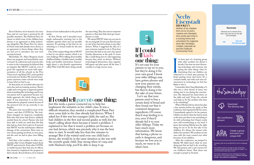*Baruch Hashem*, we've learned a lot since then, and we now have a protocol for all possible situations. The Preferred Pact, for classes in which none of the children have devices, is an agreement to delay technology altogether. The Pause Pact, for classes in which some kids already own a device, is an agreement to freeze things where they are and not to introduce any new tech moving forward.

Meanwhile, Dr. Akiva Bergman heard about our program and immediately came on board. As a physician and someone who is active in the community, he believed that an initiative like MUST could do a lot of good. He organized an event with representatives of all the schools in the Five Towns (on Long Island, NY), and it pushed us forward even further. We weren't homegrown anymore; entire schools were ready to hear what we had to say.

At that point, we recruited advocates for each class and ran training sessions. There's a right and a wrong way to approach parents about something like technology, and if even one parent isn't in agreement because of a faulty approach, the whole thing can fall apart. It was important to us that every ambassador be properly trained, because if the protocol isn't set up correctly, it can backfire.

The pacts were successful in most of the classes—and then COVID hit. The lockdown changed our trajectory completely. Kids who had never had devices suddenly needed them for school. Parents who had been able to hold out until then felt that they had no choice but to give in. It seemed that MUST was the unfortunate collateral damage of the coronavirus. There were no new classes getting involved, no new pacts, and the ones we had in place were falling apart.

And then a few mothers in other communities like Crown Heights heard about MUST and revived it. Even after COVID, or maybe because they had seen its effects, they wanted to implement the program in their schools. *Baruch Hashem*, we've trained dozens of new ambassadors in the past few weeks.

At first, Nechy and I attended every single ambassador meeting, but as the initiative spreads, that's just not possible anymore. It's growing so fast that we are switching to a virtual model for the new trainings.

> ve been part of a learning group<br>with other mothers for almost a<br>decade. One time we were discuss-<br>ing technology, and everyone was<br>saying the same thing—that it's<br>frustrating that our children are<br>subjected to so much pee 've been part of a learning group with other mothers for almost a decade. One time we were discussing technology, and everyone was saying the same thing—that it's frustrating that our children are keeps getting worse and worse. It's a constant battle, and with each new advancement in technology, we feel less

One of the unique things about MUST is that it's not about content, which is its own challenge. We're talking about healthy childhood habits: a healthy mind, a healthy body, and healthy interactions. Interestingly, there's a non-Jewish organization called Wait Until 8th that's doing exactly

too.

We created an easy to use app so each contributing member provides payment info through our system - no more reminders to pay back money!

# **Reminder Reminder** Remind me to remind Tova Remind me to remind Tova that I still owe her for the gift that I still owe her for the gift she arranged. she arranged. OK Just use<br>
The Simcha App! **Download** <u>CJ,</u> The Simcha App Set contribution amount Create a group and send your unique link! Arranging a gift can be exciting! But it has it's challenges

Our system integrates with text messages and phone calls so any of your friends, family or neighbors **can join the gift - even without a smartphone.**

# **If I could tell parents one thing:**

Just this week, a parent contacted me to help her implement the initiative in her child's class. It was a difficult situation; they needed a complicated Pause Pact since some kids in the class already had devices. When I asked her if this was her youngest child, she said no. She had children in the first and second grades as well, but she wasn't calling about them because it wasn't a problem. I explained to her that it wasn't a problem yet because no one had devices, which was precisely why it was the best time to start. It would take less than five minutes to arrange! But if she waited until even one child had a device, she would be in the same situation as she was with the seventh-grade child. Stay strong when it's easy, and with Hashem's help, you'll be able to keep it up.



likely to win it.

I remember that Chaya Bistritzky, *a"h*, who was a close friend of mine, was sitting next to me during the conversation. She slammed her hand down on the table and said, "Guys, the schools can't help us. It's the mothers who have to do something!"

When Michal told me about her plan a few minutes before she spoke at that conference we'd organized with her mom, I immediately agreed to be her partner. I didn't even know what she had in mind at the time, just that it was something to do with technology, but Chaya's words were still reverberating in my head. I knew that joining Michal was the right thing for me to do for the sake of my children. It's always the women who define the narrative. We mothers are the ones with the most control over what becomes of our children.

After the conference, we jumped in blindly. We didn't know what we were doing, just that we had to do *something*. We had passion and a real concern for our children's future. That alone was enough to propel us forward.

### **If I could tell kids one thing:**

It's not easy for your parents to say no to you, but they're doing it for your own good. I know your older siblings may have gotten phones and now your parents are changing their minds, but they're doing it for the sake of your future.

Let's say that your parents used to buy a certain kind of bread and then found out that it contained dangerous ingredients. Of course they'd stop feeding it to you, even if they'd already fed it to your older siblings. Today we have much more information. We know that having a phone so early is dangerous, and because we love you so much, we want to do what's best.

the same thing. They also want to empower parents so that their kids don't get smartphones so early.

We started MUST when my son was in the second grade. It was easy then because no one in his class had a phone or any other devices. When I suggested the idea of a pact, everyone wanted to do it. Now, four years later, the kids in my son's class spend Sunday afternoons at the park. It seems like a small thing, but it's only happening because they aren't on devices. Without technological distractions, they organize ball games and play sports all the time. I consider it a huge success story.



**Nechy Eisenstadt BROOKLYN** 

Mother of six children from six to 22 and a creative arts therapist who works part time in a nursing home and volunteers for organizations like Yad Batya L'Kallah, Hatzolah Air and the Flatbush Community Fund.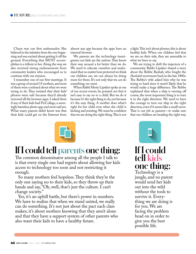Chaya was our first ambassador. She believed in the initiative from the very beginning and was excited about getting it off the ground. Everything that MUST accomplishes is a tribute to her. Along the way, we also received strong endorsements from community leaders who encouraged us to continue with our mission.

I remember one of our first meetings. It was a group of around 15 mothers, and most of them were confused about what we were trying to do. They insisted that their kids' phones were safe because they'd already removed all the browser apps. I asked them if any of their kids had PicCollage, a seemingly harmless photo app, and most said yes. What many parents didn't know was that their kids could get on the Internet from

almost any app because the apps have an internal browser.

We parents are the technology immigrants; our kids are the natives. They know their way around a lot better than we do. We need to educate ourselves and understand that no matter how protected we think our children are, we can always be doing more for them. It's not only that we *can* do something; we must.

When Rabbi Motty Lipskier spoke at one of our recent events, he pointed out that it isn't easy to say no to a child. But we do it because it's the right thing to do, not because it's the easy thing. A mother does what's right for her child even when the child is kicking and resisting. We must be confident that we are doing the right thing. This is not

# **If I could tell parents one thing:**

The common denominator among all the people I talk to is that every single one had regrets about allowing her kids access to technology too soon and not restricting it enough.

So many mothers feel hopeless. They think they're the only one saying no to their kids, so they throw up their hands and say, "Oh, well, that's just the culture. I can't change society."

Yes, it's an uphill battle, but there's power in numbers. We have to realize that when we stand united, we really can do something. It's not just about the pact each class makes; it's about mothers knowing that they aren't alone and that they have a support system of other parents who also want their kids to have a healthy future.

a fight. This isn't about phones; this is about healthy kids. When our children feel that we are on their side, they are amenable to what we have to say.

We are trying to shift the trajectory of a community. Rabbi Lipskier shared a story about the Rebbe Rashab, who fought the *Haskalah* movement back in the late 1800s. The Rebbe's wife asked him why he was trying so hard since it wasn't likely that he would make a huge difference. The Rebbe explained that when a ship is veering off course, the most important thing is to turn it in the right direction. We need to have the courage to turn our ship in the right direction, even if it seems like a small move. That is our job as parents—to make sure that our children are heading the right way.

# **If I could tell kids one thing:**

Technology is a jungle, and no parent would send her kids out into the wild without the tools to survive it. Everything we are doing is for you. We are facing the problem head on in order to give you the best possible life.